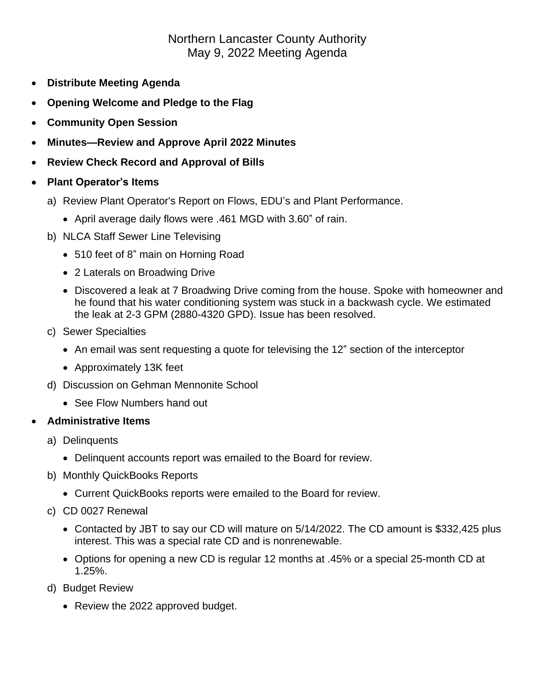## Northern Lancaster County Authority May 9, 2022 Meeting Agenda

- **Distribute Meeting Agenda**
- **Opening Welcome and Pledge to the Flag**
- **Community Open Session**
- **Minutes—Review and Approve April 2022 Minutes**
- **Review Check Record and Approval of Bills**
- **Plant Operator's Items**
	- a) Review Plant Operator's Report on Flows, EDU's and Plant Performance.
		- April average daily flows were .461 MGD with 3.60" of rain.
	- b) NLCA Staff Sewer Line Televising
		- 510 feet of 8" main on Horning Road
		- 2 Laterals on Broadwing Drive
		- Discovered a leak at 7 Broadwing Drive coming from the house. Spoke with homeowner and he found that his water conditioning system was stuck in a backwash cycle. We estimated the leak at 2-3 GPM (2880-4320 GPD). Issue has been resolved.
	- c) Sewer Specialties
		- An email was sent requesting a quote for televising the 12" section of the interceptor
		- Approximately 13K feet
	- d) Discussion on Gehman Mennonite School
		- See Flow Numbers hand out

## • **Administrative Items**

- a) Delinquents
	- Delinquent accounts report was emailed to the Board for review.
- b) Monthly QuickBooks Reports
	- Current QuickBooks reports were emailed to the Board for review.
- c) CD 0027 Renewal
	- Contacted by JBT to say our CD will mature on 5/14/2022. The CD amount is \$332,425 plus interest. This was a special rate CD and is nonrenewable.
	- Options for opening a new CD is regular 12 months at .45% or a special 25-month CD at 1.25%.
- d) Budget Review
	- Review the 2022 approved budget.